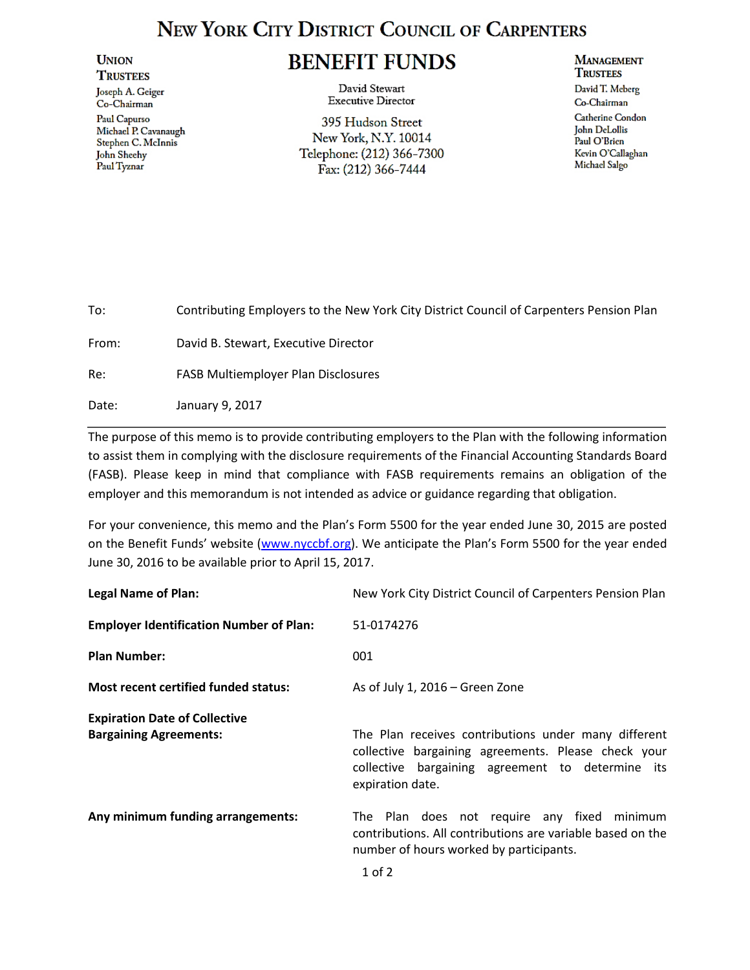## **NEW YORK CITY DISTRICT COUNCIL OF CARPENTERS**

## **UNION TRUSTEES**

Joseph A. Geiger Co-Chairman Paul Capurso Michael P. Cavanaugh Stephen C. McInnis John Sheehy Paul Tyznar

## **BENEFIT FUNDS**

David Stewart **Executive Director** 

395 Hudson Street New York, N.Y. 10014 Telephone: (212) 366-7300 Fax: (212) 366-7444

## **MANAGEMENT TRUSTEES**

David T. Meberg Co-Chairman **Catherine** Condon John DeLollis Paul O'Brien Kevin O'Callaghan Michael Salgo

| To:   | Contributing Employers to the New York City District Council of Carpenters Pension Plan |
|-------|-----------------------------------------------------------------------------------------|
| From: | David B. Stewart, Executive Director                                                    |
| Re:   | <b>FASB Multiemployer Plan Disclosures</b>                                              |
| Date: | January 9, 2017                                                                         |

The purpose of this memo is to provide contributing employers to the Plan with the following information to assist them in complying with the disclosure requirements of the Financial Accounting Standards Board (FASB). Please keep in mind that compliance with FASB requirements remains an obligation of the employer and this memorandum is not intended as advice or guidance regarding that obligation.

For your convenience, this memo and the Plan's Form 5500 for the year ended June 30, 2015 are posted on the Benefit Funds' website ([www.nyccbf.org\)](http://www.nyccbf.org/). We anticipate the Plan's Form 5500 for the year ended June 30, 2016 to be available prior to April 15, 2017.

| <b>Legal Name of Plan:</b>                                            | New York City District Council of Carpenters Pension Plan                                                                                                                           |
|-----------------------------------------------------------------------|-------------------------------------------------------------------------------------------------------------------------------------------------------------------------------------|
| <b>Employer Identification Number of Plan:</b>                        | 51-0174276                                                                                                                                                                          |
| <b>Plan Number:</b>                                                   | 001                                                                                                                                                                                 |
| <b>Most recent certified funded status:</b>                           | As of July 1, $2016$ – Green Zone                                                                                                                                                   |
| <b>Expiration Date of Collective</b><br><b>Bargaining Agreements:</b> | The Plan receives contributions under many different<br>collective bargaining agreements. Please check your<br>collective bargaining agreement to determine its<br>expiration date. |
| Any minimum funding arrangements:                                     | The Plan does not require any fixed minimum<br>contributions. All contributions are variable based on the<br>number of hours worked by participants.                                |